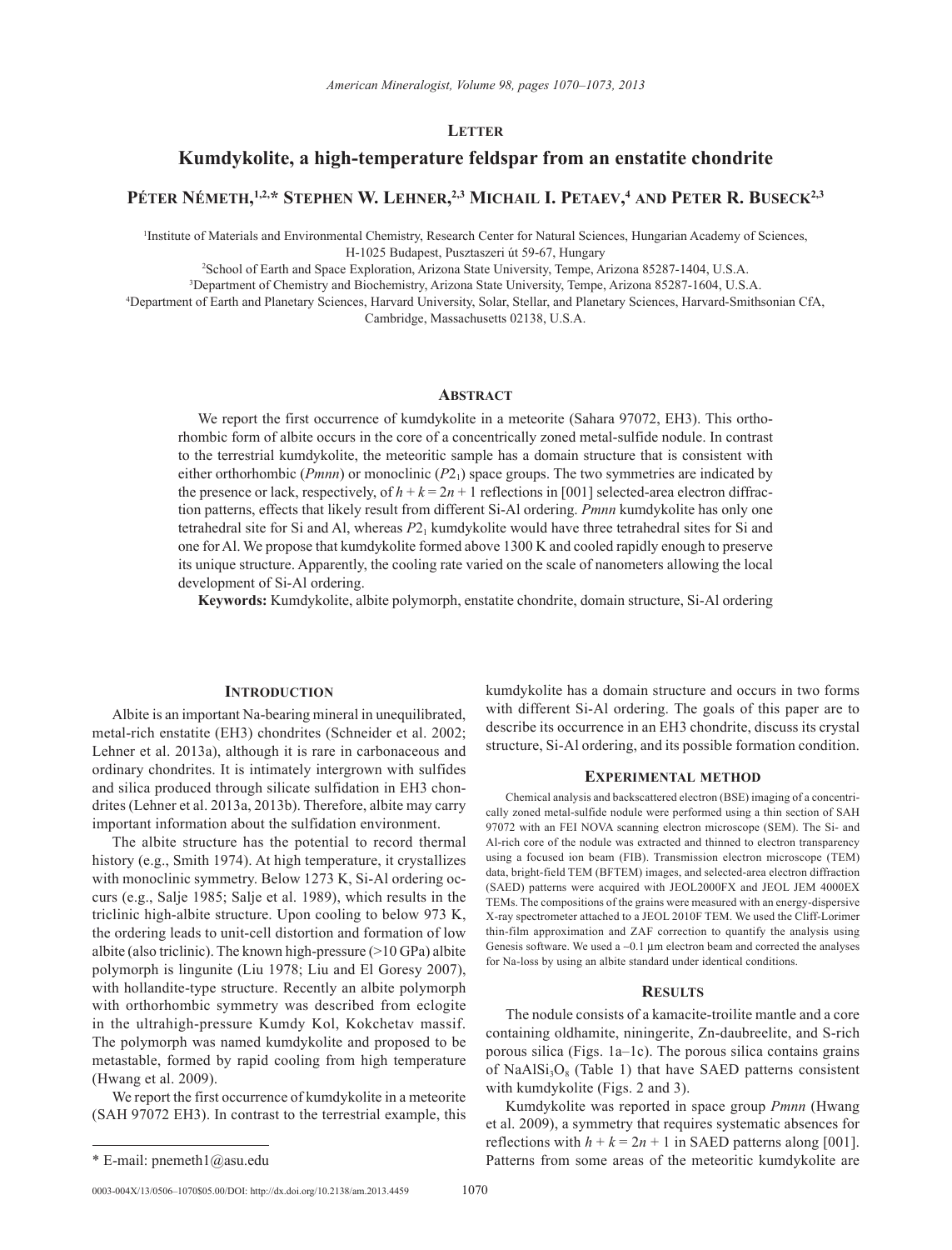## **Letter**

# **Kumdykolite, a high-temperature feldspar from an enstatite chondrite**

## **Péter Németh, 1,2,\* Stephen W. Lehner, 2,3 Michail I. Petaev, <sup>4</sup> and Peter R. Buseck2,3**

1 Institute of Materials and Environmental Chemistry, Research Center for Natural Sciences, Hungarian Academy of Sciences, H-1025 Budapest, Pusztaszeri út 59-67, Hungary

2 School of Earth and Space Exploration, Arizona State University, Tempe, Arizona 85287-1404, U.S.A.

3 Department of Chemistry and Biochemistry, Arizona State University, Tempe, Arizona 85287-1604, U.S.A.

4 Department of Earth and Planetary Sciences, Harvard University, Solar, Stellar, and Planetary Sciences, Harvard-Smithsonian CfA, Cambridge, Massachusetts 02138, U.S.A.

#### **Abstract**

We report the first occurrence of kumdykolite in a meteorite (Sahara 97072, EH3). This orthorhombic form of albite occurs in the core of a concentrically zoned metal-sulfide nodule. In contrast to the terrestrial kumdykolite, the meteoritic sample has a domain structure that is consistent with either orthorhombic (*Pmnn*) or monoclinic (*P*2<sub>1</sub>) space groups. The two symmetries are indicated by the presence or lack, respectively, of  $h + k = 2n + 1$  reflections in [001] selected-area electron diffraction patterns, effects that likely result from different Si-Al ordering. *Pmnn* kumdykolite has only one tetrahedral site for Si and Al, whereas *P*21 kumdykolite would have three tetrahedral sites for Si and one for Al. We propose that kumdykolite formed above 1300 K and cooled rapidly enough to preserve its unique structure. Apparently, the cooling rate varied on the scale of nanometers allowing the local development of Si-Al ordering.

**Keywords:** Kumdykolite, albite polymorph, enstatite chondrite, domain structure, Si-Al ordering

## **Introduction**

Albite is an important Na-bearing mineral in unequilibrated, metal-rich enstatite (EH3) chondrites (Schneider et al. 2002; Lehner et al. 2013a), although it is rare in carbonaceous and ordinary chondrites. It is intimately intergrown with sulfides and silica produced through silicate sulfidation in EH3 chondrites (Lehner et al. 2013a, 2013b). Therefore, albite may carry important information about the sulfidation environment.

The albite structure has the potential to record thermal history (e.g., Smith 1974). At high temperature, it crystallizes with monoclinic symmetry. Below 1273 K, Si-Al ordering occurs (e.g., Salje 1985; Salje et al. 1989), which results in the triclinic high-albite structure. Upon cooling to below 973 K, the ordering leads to unit-cell distortion and formation of low albite (also triclinic). The known high-pressure (>10 GPa) albite polymorph is lingunite (Liu 1978; Liu and El Goresy 2007), with hollandite-type structure. Recently an albite polymorph with orthorhombic symmetry was described from eclogite in the ultrahigh-pressure Kumdy Kol, Kokchetav massif. The polymorph was named kumdykolite and proposed to be metastable, formed by rapid cooling from high temperature (Hwang et al. 2009).

We report the first occurrence of kumdykolite in a meteorite (SAH 97072 EH3). In contrast to the terrestrial example, this

0003-004X/13/0506-1070\$05.00/DOI: http://dx.doi.org/10.2138/am.2013.4459 1070

kumdykolite has a domain structure and occurs in two forms with different Si-Al ordering. The goals of this paper are to describe its occurrence in an EH3 chondrite, discuss its crystal structure, Si-Al ordering, and its possible formation condition.

#### **Experimental method**

Chemical analysis and backscattered electron (BSE) imaging of a concentrically zoned metal-sulfide nodule were performed using a thin section of SAH 97072 with an FEI NOVA scanning electron microscope (SEM). The Si- and Al-rich core of the nodule was extracted and thinned to electron transparency using a focused ion beam (FIB). Transmission electron microscope (TEM) data, bright-field TEM (BFTEM) images, and selected-area electron diffraction (SAED) patterns were acquired with JEOL2000FX and JEOL JEM 4000EX TEMs. The compositions of the grains were measured with an energy-dispersive X-ray spectrometer attached to a JEOL 2010F TEM. We used the Cliff-Lorimer thin-film approximation and ZAF correction to quantify the analysis using Genesis software. We used a  $\sim 0.1$   $\mu$ m electron beam and corrected the analyses for Na-loss by using an albite standard under identical conditions.

### **Results**

The nodule consists of a kamacite-troilite mantle and a core containing oldhamite, niningerite, Zn-daubreelite, and S-rich porous silica (Figs. 1a–1c). The porous silica contains grains of NaAl $Si<sub>3</sub>O<sub>8</sub>$  (Table 1) that have SAED patterns consistent with kumdykolite (Figs. 2 and 3).

Kumdykolite was reported in space group *Pmnn* (Hwang et al. 2009), a symmetry that requires systematic absences for reflections with  $h + k = 2n + 1$  in SAED patterns along [001]. \* E-mail: pnemeth1@asu.edu Patterns from some areas of the meteoritic kumdykolite are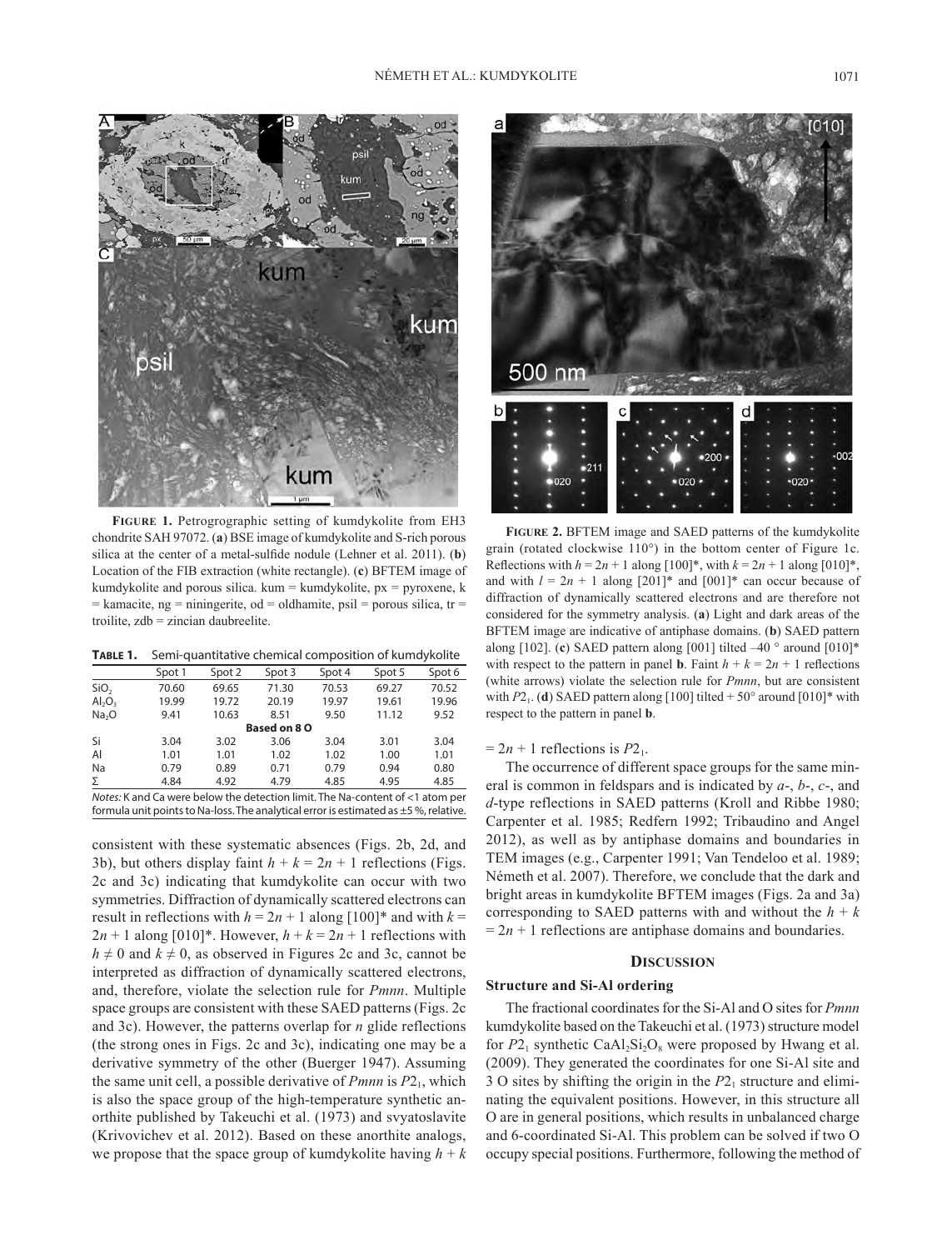

**Figure 1.** Petrogrographic setting of kumdykolite from EH3 chondrite SAH 97072. (**a**) BSE image of kumdykolite and S-rich porous silica at the center of a metal-sulfide nodule (Lehner et al. 2011). (**b**) Location of the FIB extraction (white rectangle). (**c**) BFTEM image of kumdykolite and porous silica. kum = kumdykolite,  $px = pyroxene$ , k  $=$  kamacite, ng  $=$  niningerite, od  $=$  oldhamite, psil  $=$  porous silica, tr  $=$ troilite, zdb = zincian daubreelite.

**Table 1.** Semi-quantitative chemical composition of kumdykolite

| Spot 1       | Spot 2 | Spot 3 | Spot 4 | Spot 5 | Spot 6 |  |  |
|--------------|--------|--------|--------|--------|--------|--|--|
| 70.60        | 69.65  | 71.30  | 70.53  | 69.27  | 70.52  |  |  |
| 19.99        | 19.72  | 20.19  | 19.97  | 19.61  | 19.96  |  |  |
| 9.41         | 10.63  | 8.51   | 9.50   | 11.12  | 9.52   |  |  |
| Based on 8 O |        |        |        |        |        |  |  |
| 3.04         | 3.02   | 3.06   | 3.04   | 3.01   | 3.04   |  |  |
| 1.01         | 1.01   | 1.02   | 1.02   | 1.00   | 1.01   |  |  |
| 0.79         | 0.89   | 0.71   | 0.79   | 0.94   | 0.80   |  |  |
| 4.84         | 4.92   | 4.79   | 4.85   | 4.95   | 4.85   |  |  |
|              |        |        |        |        |        |  |  |

*Notes:* K and Ca were below the detection limit. The Na-content of <1 atom per formula unit points to Na-loss. The analytical error is estimated as  $\pm$  5%, relative.

consistent with these systematic absences (Figs. 2b, 2d, and 3b), but others display faint  $h + k = 2n + 1$  reflections (Figs. 2c and 3c) indicating that kumdykolite can occur with two symmetries. Diffraction of dynamically scattered electrons can result in reflections with  $h = 2n + 1$  along  $[100]^*$  and with  $k =$  $2n + 1$  along [010]\*. However,  $h + k = 2n + 1$  reflections with  $h \neq 0$  and  $k \neq 0$ , as observed in Figures 2c and 3c, cannot be interpreted as diffraction of dynamically scattered electrons, and, therefore, violate the selection rule for *Pmnn*. Multiple space groups are consistent with these SAED patterns (Figs. 2c and 3c). However, the patterns overlap for *n* glide reflections (the strong ones in Figs. 2c and 3c), indicating one may be a derivative symmetry of the other (Buerger 1947). Assuming the same unit cell, a possible derivative of *Pmnn* is *P*21, which is also the space group of the high-temperature synthetic anorthite published by Takeuchi et al. (1973) and svyatoslavite (Krivovichev et al. 2012). Based on these anorthite analogs, we propose that the space group of kumdykolite having  $h + k$ 



**Figure 2.** BFTEM image and SAED patterns of the kumdykolite grain (rotated clockwise 110°) in the bottom center of Figure 1c. Reflections with  $h = 2n + 1$  along  $[100]^*$ , with  $k = 2n + 1$  along  $[010]^*$ , and with  $l = 2n + 1$  along  $[201]^*$  and  $[001]^*$  can occur because of diffraction of dynamically scattered electrons and are therefore not considered for the symmetry analysis. (**a**) Light and dark areas of the BFTEM image are indicative of antiphase domains. (**b**) SAED pattern along [102]. (**c**) SAED pattern along [001] tilted –40 ° around [010]\* with respect to the pattern in panel **b**. Faint  $h + k = 2n + 1$  reflections (white arrows) violate the selection rule for *Pmnn*, but are consistent with  $P2_1$ . (**d**) SAED pattern along [100] tilted + 50° around [010]\* with respect to the pattern in panel **b**.

 $= 2n + 1$  reflections is  $P2_1$ .

The occurrence of different space groups for the same mineral is common in feldspars and is indicated by *a*-, *b*-, *c*-, and *d*-type reflections in SAED patterns (Kroll and Ribbe 1980; Carpenter et al. 1985; Redfern 1992; Tribaudino and Angel 2012), as well as by antiphase domains and boundaries in TEM images (e.g., Carpenter 1991; Van Tendeloo et al. 1989; Németh et al. 2007). Therefore, we conclude that the dark and bright areas in kumdykolite BFTEM images (Figs. 2a and 3a) corresponding to SAED patterns with and without the  $h + k$  $= 2n + 1$  reflections are antiphase domains and boundaries.

#### **Discussion**

## **Structure and Si-Al ordering**

The fractional coordinates for the Si-Al and O sites for *Pmnn* kumdykolite based on the Takeuchi et al. (1973) structure model for  $P2_1$  synthetic CaAl<sub>2</sub>Si<sub>2</sub>O<sub>8</sub> were proposed by Hwang et al. (2009). They generated the coordinates for one Si-Al site and 3 O sites by shifting the origin in the  $P2<sub>1</sub>$  structure and eliminating the equivalent positions. However, in this structure all O are in general positions, which results in unbalanced charge and 6-coordinated Si-Al. This problem can be solved if two O occupy special positions. Furthermore, following the method of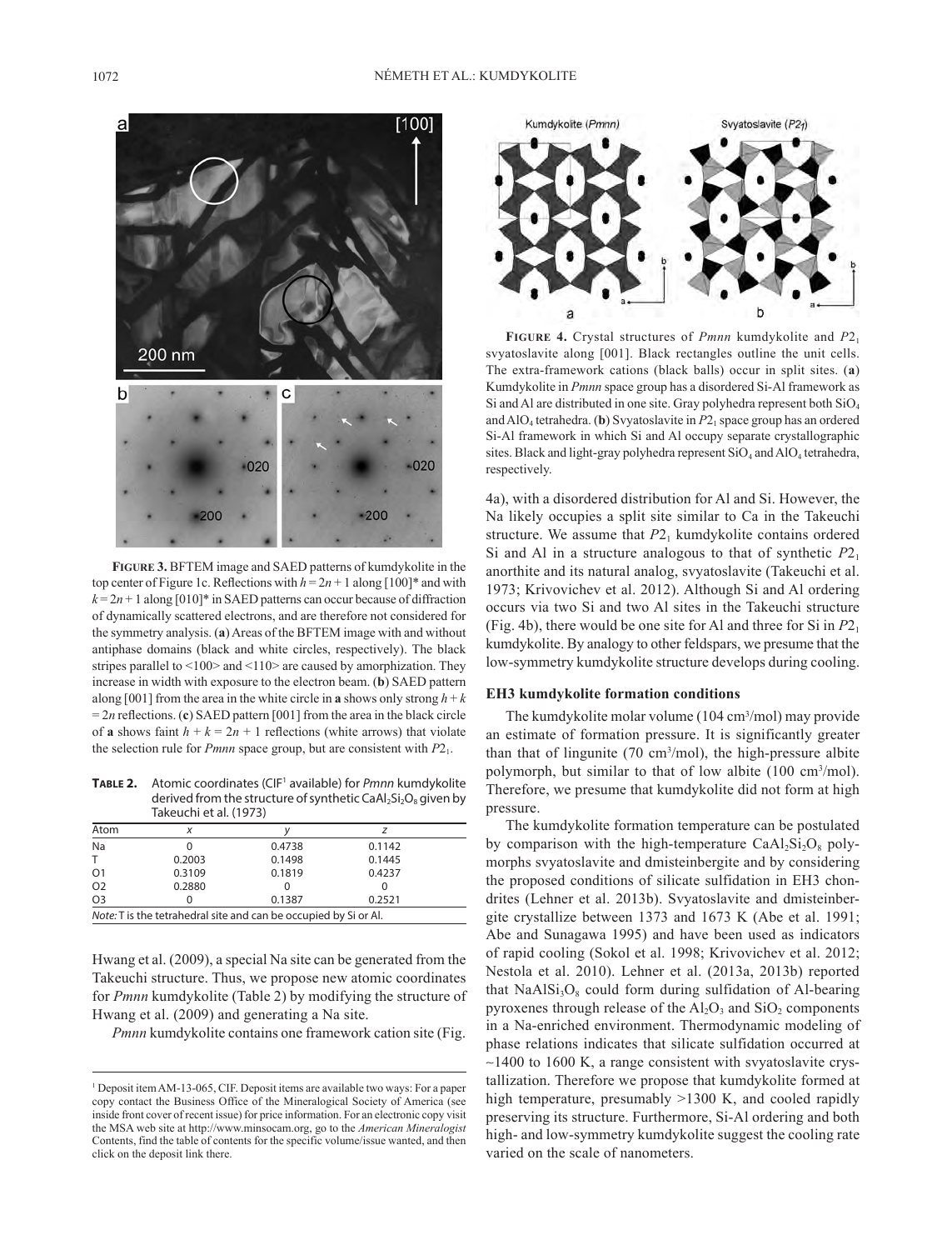

**Figure 3.** BFTEM image and SAED patterns of kumdykolite in the top center of Figure 1c. Reflections with  $h = 2n + 1$  along [100]\* and with  $k = 2n + 1$  along [010]\* in SAED patterns can occur because of diffraction of dynamically scattered electrons, and are therefore not considered for the symmetry analysis. (**a**) Areas of the BFTEM image with and without antiphase domains (black and white circles, respectively). The black stripes parallel to <100> and <110> are caused by amorphization. They increase in width with exposure to the electron beam. (**b**) SAED pattern along [001] from the area in the white circle in **a** shows only strong  $h + k$  $= 2n$  reflections. (**c**) SAED pattern [001] from the area in the black circle of **a** shows faint  $h + k = 2n + 1$  reflections (white arrows) that violate the selection rule for *Pmnn* space group, but are consistent with  $P2<sub>1</sub>$ .

**Table 2.** Atomic coordinates (CIF1 available) for *Pmnn* kumdykolite derived from the structure of synthetic CaAl<sub>2</sub>Si<sub>2</sub>O<sub>8</sub> given by Takeuchi et al. (1973)

| Atom                                                             |        |        |        |  |  |
|------------------------------------------------------------------|--------|--------|--------|--|--|
| Na                                                               |        | 0.4738 | 0.1142 |  |  |
| т                                                                | 0.2003 | 0.1498 | 0.1445 |  |  |
| O <sub>1</sub>                                                   | 0.3109 | 0.1819 | 0.4237 |  |  |
| O <sub>2</sub>                                                   | 0.2880 |        |        |  |  |
| O <sub>3</sub>                                                   |        | 0.1387 | 0.2521 |  |  |
| Note: T is the tetrahedral site and can be occupied by Si or Al. |        |        |        |  |  |

Hwang et al. (2009), a special Na site can be generated from the Takeuchi structure. Thus, we propose new atomic coordinates for *Pmnn* kumdykolite (Table 2) by modifying the structure of Hwang et al. (2009) and generating a Na site.

*Pmnn* kumdykolite contains one framework cation site (Fig.



**Figure 4.** Crystal structures of *Pmnn* kumdykolite and *P*21 svyatoslavite along [001]. Black rectangles outline the unit cells. The extra-framework cations (black balls) occur in split sites. (**a**) Kumdykolite in *Pmnn* space group has a disordered Si-Al framework as Si and Al are distributed in one site. Gray polyhedra represent both  $SiO<sub>4</sub>$ and AlO4 tetrahedra. (**b**) Svyatoslavite in *P*21 space group has an ordered Si-Al framework in which Si and Al occupy separate crystallographic sites. Black and light-gray polyhedra represent  $SiO<sub>4</sub>$  and  $AlO<sub>4</sub>$  tetrahedra, respectively.

4a), with a disordered distribution for Al and Si. However, the Na likely occupies a split site similar to Ca in the Takeuchi structure. We assume that  $P2<sub>1</sub>$  kumdykolite contains ordered Si and Al in a structure analogous to that of synthetic  $P2_1$ anorthite and its natural analog, svyatoslavite (Takeuchi et al. 1973; Krivovichev et al. 2012). Although Si and Al ordering occurs via two Si and two Al sites in the Takeuchi structure (Fig. 4b), there would be one site for Al and three for Si in  $P2<sub>1</sub>$ kumdykolite. By analogy to other feldspars, we presume that the low-symmetry kumdykolite structure develops during cooling.

### **EH3 kumdykolite formation conditions**

The kumdykolite molar volume (104 cm3 /mol) may provide an estimate of formation pressure. It is significantly greater than that of lingunite (70 cm3 /mol), the high-pressure albite polymorph, but similar to that of low albite (100 cm<sup>3</sup>/mol). Therefore, we presume that kumdykolite did not form at high pressure.

The kumdykolite formation temperature can be postulated by comparison with the high-temperature  $CaAl<sub>2</sub>Si<sub>2</sub>O<sub>8</sub>$  polymorphs svyatoslavite and dmisteinbergite and by considering the proposed conditions of silicate sulfidation in EH3 chondrites (Lehner et al. 2013b). Svyatoslavite and dmisteinbergite crystallize between 1373 and 1673 K (Abe et al. 1991; Abe and Sunagawa 1995) and have been used as indicators of rapid cooling (Sokol et al. 1998; Krivovichev et al. 2012; Nestola et al. 2010). Lehner et al. (2013a, 2013b) reported that  $NaAlSi<sub>3</sub>O<sub>8</sub>$  could form during sulfidation of Al-bearing pyroxenes through release of the  $Al_2O_3$  and  $SiO_2$  components in a Na-enriched environment. Thermodynamic modeling of phase relations indicates that silicate sulfidation occurred at ~1400 to 1600 K, a range consistent with svyatoslavite crystallization. Therefore we propose that kumdykolite formed at high temperature, presumably >1300 K, and cooled rapidly preserving its structure. Furthermore, Si-Al ordering and both high- and low-symmetry kumdykolite suggest the cooling rate varied on the scale of nanometers.

<sup>&</sup>lt;sup>1</sup> Deposit item AM-13-065, CIF. Deposit items are available two ways: For a paper copy contact the Business Office of the Mineralogical Society of America (see inside front cover of recent issue) for price information. For an electronic copy visit the MSA web site at http://www.minsocam.org, go to the *American Mineralogist* Contents, find the table of contents for the specific volume/issue wanted, and then click on the deposit link there.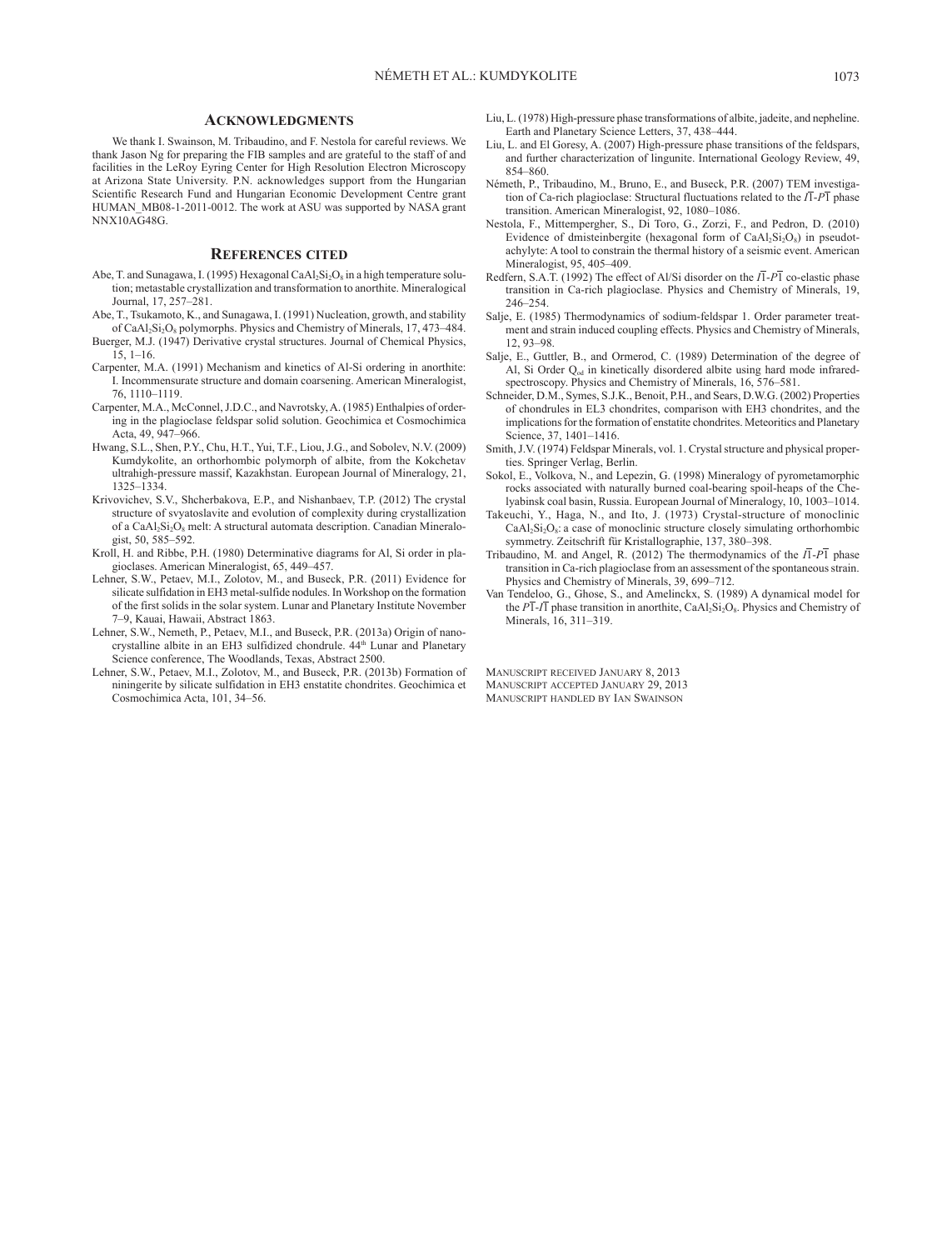#### **Acknowledgments**

We thank I. Swainson, M. Tribaudino, and F. Nestola for careful reviews. We thank Jason Ng for preparing the FIB samples and are grateful to the staff of and facilities in the LeRoy Eyring Center for High Resolution Electron Microscopy at Arizona State University. P.N. acknowledges support from the Hungarian Scientific Research Fund and Hungarian Economic Development Centre grant HUMAN\_MB08-1-2011-0012. The work at ASU was supported by NASA grant NNX10AG48G.

#### **References cited**

- Abe, T. and Sunagawa, I. (1995) Hexagonal CaAl<sub>2</sub>Si<sub>2</sub>O<sub>8</sub> in a high temperature solution; metastable crystallization and transformation to anorthite. Mineralogical Journal, 17, 257–281.
- Abe, T., Tsukamoto, K., and Sunagawa, I. (1991) Nucleation, growth, and stability of CaAl<sub>2</sub>Si<sub>2</sub>O<sub>8</sub> polymorphs. Physics and Chemistry of Minerals, 17, 473-484.
- Buerger, M.J. (1947) Derivative crystal structures. Journal of Chemical Physics,  $15, 1–16.$
- Carpenter, M.A. (1991) Mechanism and kinetics of Al-Si ordering in anorthite: I. Incommensurate structure and domain coarsening. American Mineralogist, 76, 1110–1119.
- Carpenter, M.A., McConnel, J.D.C., and Navrotsky, A. (1985) Enthalpies of ordering in the plagioclase feldspar solid solution. Geochimica et Cosmochimica Acta, 49, 947–966.
- Hwang, S.L., Shen, P.Y., Chu, H.T., Yui, T.F., Liou, J.G., and Sobolev, N.V. (2009) Kumdykolite, an orthorhombic polymorph of albite, from the Kokchetav ultrahigh-pressure massif, Kazakhstan. European Journal of Mineralogy, 21, 1325–1334.
- Krivovichev, S.V., Shcherbakova, E.P., and Nishanbaev, T.P. (2012) The crystal structure of svyatoslavite and evolution of complexity during crystallization of a  $CaAl<sub>2</sub>Si<sub>2</sub>O<sub>8</sub>$  melt: A structural automata description. Canadian Mineralogist, 50, 585–592.
- Kroll, H. and Ribbe, P.H. (1980) Determinative diagrams for Al, Si order in plagioclases. American Mineralogist, 65, 449–457.
- Lehner, S.W., Petaev, M.I., Zolotov, M., and Buseck, P.R. (2011) Evidence for silicate sulfidation in EH3 metal-sulfide nodules. In Workshop on the formation of the first solids in the solar system. Lunar and Planetary Institute November 7–9, Kauai, Hawaii, Abstract 1863.
- Lehner, S.W., Nemeth, P., Petaev, M.I., and Buseck, P.R. (2013a) Origin of nanocrystalline albite in an EH3 sulfidized chondrule. 44<sup>th</sup> Lunar and Planetary Science conference, The Woodlands, Texas, Abstract 2500.
- Lehner, S.W., Petaev, M.I., Zolotov, M., and Buseck, P.R. (2013b) Formation of niningerite by silicate sulfidation in EH3 enstatite chondrites. Geochimica et Cosmochimica Acta, 101, 34–56.
- Liu, L. (1978) High-pressure phase transformations of albite, jadeite, and nepheline. Earth and Planetary Science Letters, 37, 438–444.
- Liu, L. and El Goresy, A. (2007) High-pressure phase transitions of the feldspars, and further characterization of lingunite. International Geology Review, 49, 854–860.
- Németh, P., Tribaudino, M., Bruno, E., and Buseck, P.R. (2007) TEM investigation of Ca-rich plagioclase: Structural fluctuations related to the  $I\overline{I}$ - $P\overline{I}$  phase transition. American Mineralogist, 92, 1080–1086.
- Nestola, F., Mittempergher, S., Di Toro, G., Zorzi, F., and Pedron, D. (2010) Evidence of dmisteinbergite (hexagonal form of  $CaAl<sub>2</sub>Si<sub>2</sub>O<sub>8</sub>$ ) in pseudotachylyte: A tool to constrain the thermal history of a seismic event. American Mineralogist, 95, 405–409.
- Redfern, S.A.T. (1992) The effect of Al/Si disorder on the  $I\overline{1}$ - $P\overline{1}$  co-elastic phase transition in Ca-rich plagioclase. Physics and Chemistry of Minerals, 19, 246–254.
- Salje, E. (1985) Thermodynamics of sodium-feldspar 1. Order parameter treatment and strain induced coupling effects. Physics and Chemistry of Minerals, 12, 93–98.
- Salje, E., Guttler, B., and Ormerod, C. (1989) Determination of the degree of Al, Si Order Q<sub>od</sub> in kinetically disordered albite using hard mode infraredspectroscopy. Physics and Chemistry of Minerals, 16, 576–581.
- Schneider, D.M., Symes, S.J.K., Benoit, P.H., and Sears, D.W.G. (2002) Properties of chondrules in EL3 chondrites, comparison with EH3 chondrites, and the implications for the formation of enstatite chondrites. Meteoritics and Planetary Science, 37, 1401–1416.
- Smith, J.V. (1974) Feldspar Minerals, vol. 1. Crystal structure and physical properties. Springer Verlag, Berlin.
- Sokol, E., Volkova, N., and Lepezin, G. (1998) Mineralogy of pyrometamorphic rocks associated with naturally burned coal-bearing spoil-heaps of the Chelyabinsk coal basin, Russia. European Journal of Mineralogy, 10, 1003–1014.
- Takeuchi, Y., Haga, N., and Ito, J. (1973) Crystal-structure of monoclinic  $CaAl<sub>2</sub>Si<sub>2</sub>O<sub>8</sub>$ : a case of monoclinic structure closely simulating orthorhombic symmetry. Zeitschrift für Kristallographie, 137, 380–398.
- Tribaudino, M. and Angel, R. (2012) The thermodynamics of the  $I\overline{I}$ - $P\overline{I}$  phase transition in Ca-rich plagioclase from an assessment of the spontaneous strain. Physics and Chemistry of Minerals, 39, 699–712.
- Van Tendeloo, G., Ghose, S., and Amelinckx, S. (1989) A dynamical model for the  $P\overline{1}$ - $I\overline{1}$  phase transition in anorthite, CaAl<sub>2</sub>Si<sub>2</sub>O<sub>8</sub>. Physics and Chemistry of Minerals, 16, 311–319.

Manuscript received January 8, 2013 Manuscript accepted January 29, 2013 Manuscript handled by Ian Swainson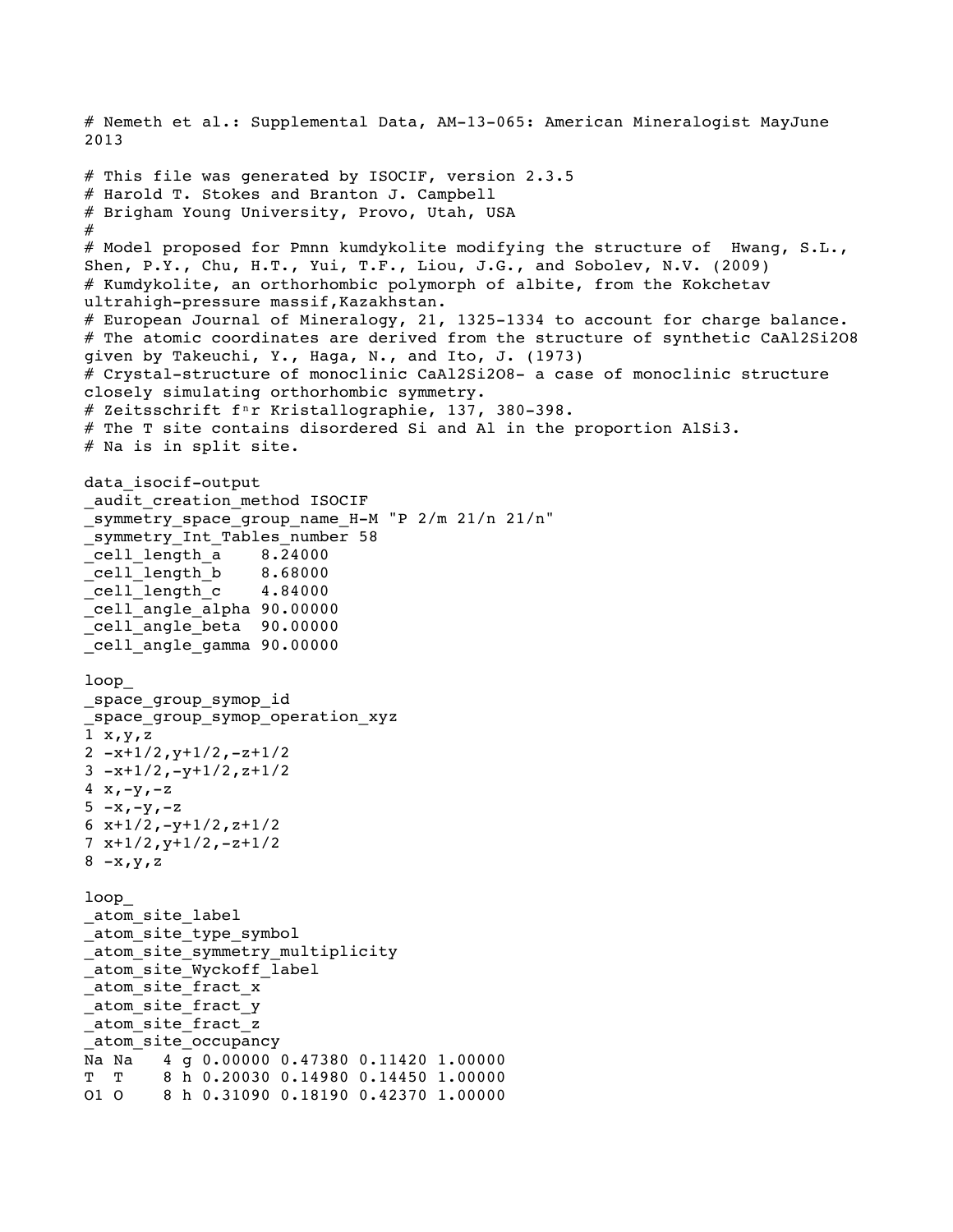```
# Nemeth et al.: Supplemental Data, AM-13-065: American Mineralogist MayJune 
2013
# This file was generated by ISOCIF, version 2.3.5
# Harold T. Stokes and Branton J. Campbell
# Brigham Young University, Provo, Utah, USA
#
# Model proposed for Pmnn kumdykolite modifying the structure of Hwang, S.L., 
Shen, P.Y., Chu, H.T., Yui, T.F., Liou, J.G., and Sobolev, N.V. (2009) 
# Kumdykolite, an orthorhombic polymorph of albite, from the Kokchetav 
ultrahigh-pressure massif,Kazakhstan.
# European Journal of Mineralogy, 21, 1325-1334 to account for charge balance.
# The atomic coordinates are derived from the structure of synthetic CaAl2Si2O8 
given by Takeuchi, Y., Haga, N., and Ito, J. (1973) 
# Crystal-structure of monoclinic CaAl2Si2O8- a case of monoclinic structure 
closely simulating orthorhombic symmetry. 
# Zeitsschrift f<sup>n</sup>r Kristallographie, 137, 380-398.
# The T site contains disordered Si and Al in the proportion AlSi3.
# Na is in split site.
data_isocif-output
_audit_creation_method ISOCIF
_symmetry_space_group_name_H-M "P 2/m 21/n 21/n"
symmetry Int Tables number 58
_cell_length_a 8.24000
\text{\_cell\_length} b
_cell_length_c 4.84000
_cell_angle_alpha 90.00000
cell angle beta 90.00000
_cell_angle_gamma 90.00000
loop_
_space_group_symop_id
_space_group_symop_operation_xyz
1 x, y, z2 -x+1/2, y+1/2, -z+1/23 -x+1/2, -y+1/2, z+1/24 \times, -y, -z5 -x, -y, -z6 x+1/2, -y+1/2, z+1/27 x+1/2,y+1/2,-z+1/2
8 - x, y, zloop_
_atom_site_label
atom site type symbol
_atom_site_symmetry_multiplicity
_atom_site_Wyckoff_label
_atom_site_fract_x
atom site fract y
_atom_site_fract_z
_atom_site_occupancy
Na Na 4 g 0.00000 0.47380 0.11420 1.00000
T T 8 h 0.20030 0.14980 0.14450 1.00000
O1 O 8 h 0.31090 0.18190 0.42370 1.00000
```